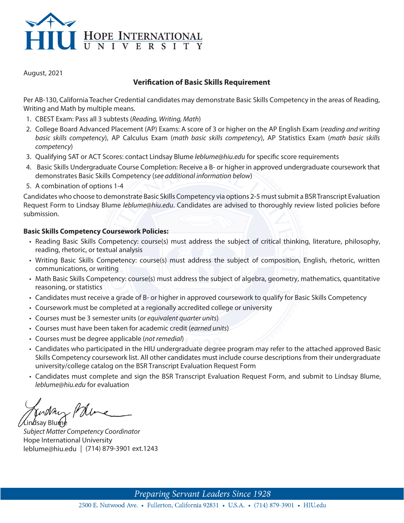

August, 2021

### **Verification of Basic Skills Requirement**

Per AB-130, California Teacher Credential candidates may demonstrate Basic Skills Competency in the areas of Reading, Writing and Math by multiple means.

- 1. CBEST Exam: Pass all 3 subtests (*Reading, Writing, Math*)
- 2. College Board Advanced Placement (AP) Exams: A score of 3 or higher on the AP English Exam (*reading and writing basic skills competency*), AP Calculus Exam (*math basic skills competency*), AP Statistics Exam (*math basic skills competency*)
- 3. Qualifying SAT or ACT Scores: contact Lindsay Blume *leblume@hiu.edu* for specific score requirements
- 4. Basic Skills Undergraduate Course Completion: Receive a B- or higher in approved undergraduate coursework that demonstrates Basic Skills Competency (*see additional information below*)
- 5. A combination of options 1-4

Candidates who choose to demonstrate Basic Skills Competency via options 2-5 must submit a BSR Transcript Evaluation Request Form to Lindsay Blume *leblume@hiu.edu*. Candidates are advised to thoroughly review listed policies before submission.

#### **Basic Skills Competency Coursework Policies:**

- Reading Basic Skills Competency: course(s) must address the subject of critical thinking, literature, philosophy, reading, rhetoric, or textual analysis
- Writing Basic Skills Competency: course(s) must address the subject of composition, English, rhetoric, written communications, or writing
- Math Basic Skills Competency: course(s) must address the subject of algebra, geometry, mathematics, quantitative reasoning, or statistics
- Candidates must receive a grade of B- or higher in approved coursework to qualify for Basic Skills Competency
- Coursework must be completed at a regionally accredited college or university
- Courses must be 3 semester units (*or equivalent quarter units*)
- Courses must have been taken for academic credit (*earned units*)
- Courses must be degree applicable (not remedial)
- Candidates who participated in the HIU undergraduate degree program may refer to the attached approved Basic Skills Competency coursework list. All other candidates must include course descriptions from their undergraduate university/college catalog on the BSR Transcript Evaluation Request Form
- Candidates must complete and sign the BSR Transcript Evaluation Request Form, and submit to Lindsay Blume, *leblume@hiu.edu* for evaluation

worm Pale Lin⁄dsay Blum∱e

*Subject Matter Competency Coordinator* Hope International University leblume@hiu.edu | (714) 879-3901 ext.1243

Preparing Servant Leaders Since 1928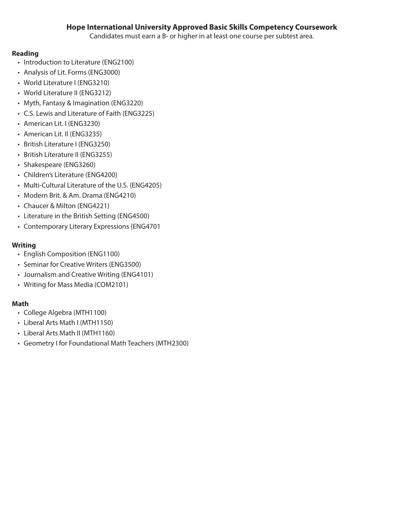Candidates must earn a B- or higher in at least one course per subtest area.

## **Reading**

- Introduction to Literature (ENG2100)
- Analysis of Lit. Forms (ENG3000)
- World Literature I (ENG3210)
- World Literature II (ENG3212)
- Myth, Fantasy & Imagination (ENG3220)
- C.S. Lewis and Literature of Faith (ENG3225)
- American Lit. I (ENG3230)
- American Lit. II (ENG3235)
- British Literature I (ENG3250)
- British Literature II (ENG3255)
- Shakespeare (ENG3260)
- Children's Literature (ENG4200)
- Multi-Cultural Literature of the U.S. (ENG4205)
- Modern Brit. & Am. Drama (ENG4210)
- Chaucer & Milton (ENG4221)
- Literature in the British Setting (ENG4500)
- Contemporary Literary Expressions (ENG4701

## **Writing**

- English Composition (ENG1100)
- Seminar for Creative Writers (ENG3500)
- Journalism and Creative Writing (ENG4101)
- Writing for Mass Media (COM2101)

# **Math**

- College Algebra (MTH1100)
- Liberal Arts Math I (MTH1150)
- Liberal Arts Math II (MTH1160)
- Geometry I for Foundational Math Teachers (MTH2300)